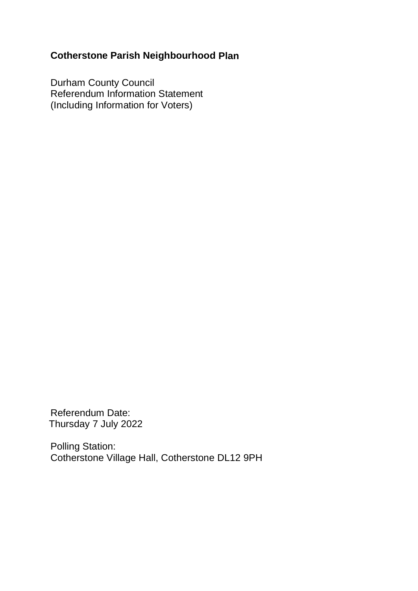# **Cotherstone Parish Neighbourhood Plan**

Durham County Council Referendum Information Statement (Including Information for Voters)

Referendum Date: Thursday 7 July 2022

Polling Station: Cotherstone Village Hall, Cotherstone DL12 9PH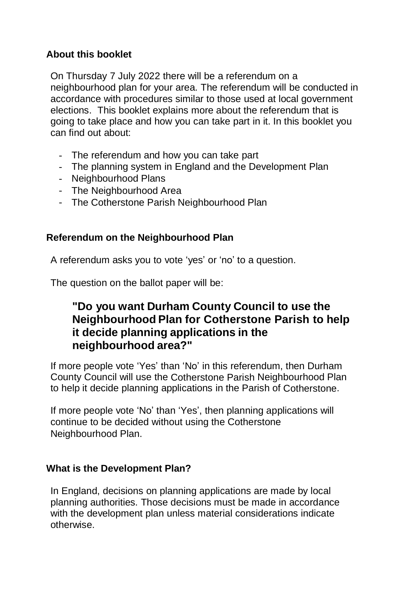## **About this booklet**

On Thursday 7 July 2022 there will be a referendum on a neighbourhood plan for your area. The referendum will be conducted in accordance with procedures similar to those used at local government elections. This booklet explains more about the referendum that is going to take place and how you can take part in it. In this booklet you can find out about:

- The referendum and how you can take part
- The planning system in England and the Development Plan
- Neighbourhood Plans
- The Neighbourhood Area
- The Cotherstone Parish Neighbourhood Plan

## **Referendum on the Neighbourhood Plan**

A referendum asks you to vote 'yes' or 'no' to a question.

The question on the ballot paper will be:

# **"Do you want Durham County Council to use the Neighbourhood Plan for Cotherstone Parish to help it decide planning applications in the neighbourhood area?"**

If more people vote 'Yes' than 'No' in this referendum, then Durham County Council will use the Cotherstone Parish Neighbourhood Plan to help it decide planning applications in the Parish of Cotherstone.

If more people vote 'No' than 'Yes', then planning applications will continue to be decided without using the Cotherstone Neighbourhood Plan.

## **What is the Development Plan?**

In England, decisions on planning applications are made by local planning authorities. Those decisions must be made in accordance with the development plan unless material considerations indicate otherwise.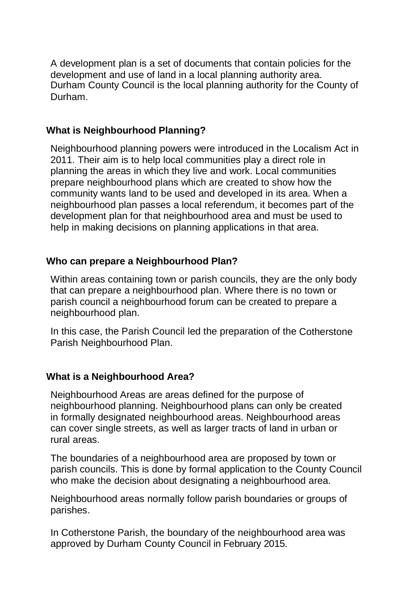A development plan is a set of documents that contain policies for the development and use of land in a local planning authority area. Durham County Council is the local planning authority for the County of Durham.

## **What is Neighbourhood Planning?**

Neighbourhood planning powers were introduced in the Localism Act in 2011. Their aim is to help local communities play a direct role in planning the areas in which they live and work. Local communities prepare neighbourhood plans which are created to show how the community wants land to be used and developed in its area. When a neighbourhood plan passes a local referendum, it becomes part of the development plan for that neighbourhood area and must be used to help in making decisions on planning applications in that area.

## **Who can prepare a Neighbourhood Plan?**

Within areas containing town or parish councils, they are the only body that can prepare a neighbourhood plan. Where there is no town or parish council a neighbourhood forum can be created to prepare a neighbourhood plan.

In this case, the Parish Council led the preparation of the Cotherstone Parish Neighbourhood Plan.

# **What is a Neighbourhood Area?**

Neighbourhood Areas are areas defined for the purpose of neighbourhood planning. Neighbourhood plans can only be created in formally designated neighbourhood areas. Neighbourhood areas can cover single streets, as well as larger tracts of land in urban or rural areas.

The boundaries of a neighbourhood area are proposed by town or parish councils. This is done by formal application to the County Council who make the decision about designating a neighbourhood area.

Neighbourhood areas normally follow parish boundaries or groups of parishes.

In Cotherstone Parish, the boundary of the neighbourhood area was approved by Durham County Council in February 2015.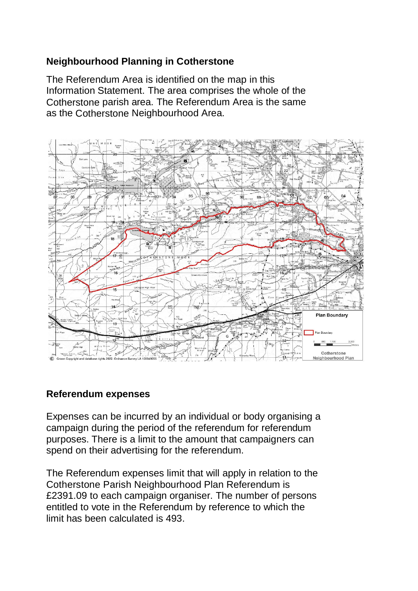## **Neighbourhood Planning in Cotherstone**

The Referendum Area is identified on the map in this Information Statement. The area comprises the whole of the Cotherstone parish area. The Referendum Area is the same as the Cotherstone Neighbourhood Area.



## **Referendum expenses**

Expenses can be incurred by an individual or body organising a campaign during the period of the referendum for referendum purposes. There is a limit to the amount that campaigners can spend on their advertising for the referendum.

The Referendum expenses limit that will apply in relation to the Cotherstone Parish Neighbourhood Plan Referendum is £2391.09 to each campaign organiser. The number of persons entitled to vote in the Referendum by reference to which the limit has been calculated is 493.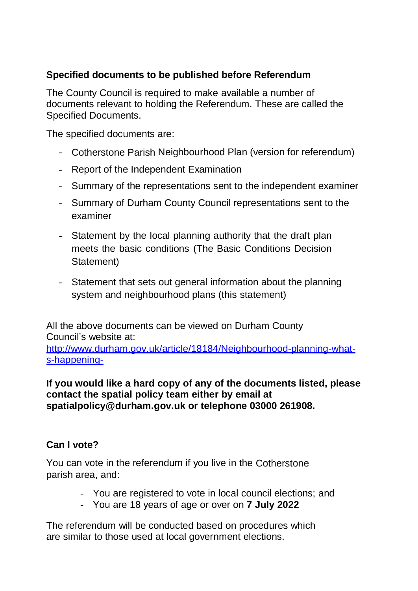## **Specified documents to be published before Referendum**

The County Council is required to make available a number of documents relevant to holding the Referendum. These are called the Specified Documents.

The specified documents are:

- Cotherstone Parish Neighbourhood Plan (version for referendum)
- Report of the Independent Examination
- Summary of the representations sent to the independent examiner
- Summary of Durham County Council representations sent to the examiner
- Statement by the local planning authority that the draft plan meets the basic conditions (The Basic Conditions Decision Statement)
- Statement that sets out general information about the planning system and neighbourhood plans (this statement)

All the above documents can be viewed on Durham County Council's website at:

[http://www.durham.gov.uk/article/18184/Neighbourhood-planning-what](http://www.durham.gov.uk/article/18184/Neighbourhood-planning-what-)s-happening-

## **If you would like a hard copy of any of the documents listed, please contact the spatial policy team either by email at spatialpolicy@durham.gov.uk or telephone 03000 261908.**

# **Can I vote?**

You can vote in the referendum if you live in the Cotherstone parish area, and:

- You are registered to vote in local council elections; and
- You are 18 years of age or over on **7 July 2022**

The referendum will be conducted based on procedures which are similar to those used at local government elections.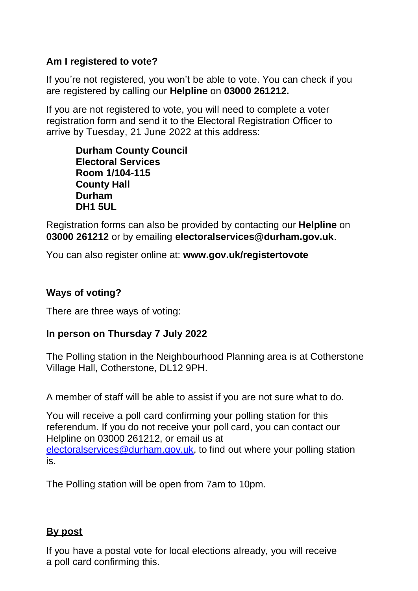## **Am I registered to vote?**

If you're not registered, you won't be able to vote. You can check if you are registered by calling our **Helpline** on **03000 261212.**

If you are not registered to vote, you will need to complete a voter registration form and send it to the Electoral Registration Officer to arrive by Tuesday, 21 June 2022 at this address:

> **Durham County Council Electoral Services Room 1/104-115 County Hall Durham DH1 5UL**

Registration forms can also be provided by contacting our **Helpline** on **03000 261212** or by emailing **[electoralservices@durham.gov.uk](mailto:electoralservices@durham.gov.uk)**.

You can also register online at: **www.gov.uk/registertovote**

## **Ways of voting?**

There are three ways of voting:

## **In person on Thursday 7 July 2022**

The Polling station in the Neighbourhood Planning area is at Cotherstone Village Hall, Cotherstone, DL12 9PH.

A member of staff will be able to assist if you are not sure what to do.

You will receive a poll card confirming your polling station for this referendum. If you do not receive your poll card, you can contact our Helpline on 03000 261212, or email us at [electoralservices@durham.gov.uk,](mailto:electoralservices@durham.gov.uk) to find out where your polling station is.

The Polling station will be open from 7am to 10pm.

## **By post**

If you have a postal vote for local elections already, you will receive a poll card confirming this.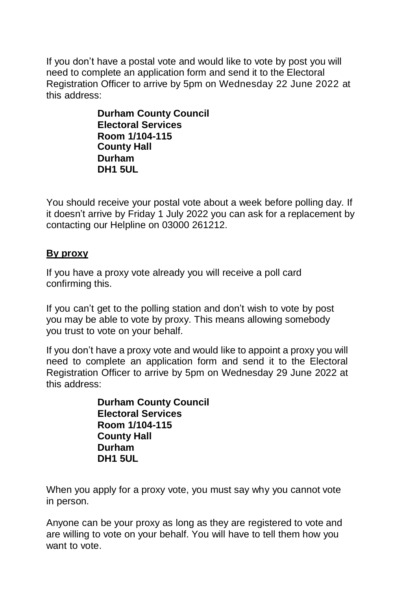If you don't have a postal vote and would like to vote by post you will need to complete an application form and send it to the Electoral Registration Officer to arrive by 5pm on Wednesday 22 June 2022 at this address:

> **Durham County Council Electoral Services Room 1/104-115 County Hall Durham DH1 5UL**

You should receive your postal vote about a week before polling day. If it doesn't arrive by Friday 1 July 2022 you can ask for a replacement by contacting our Helpline on 03000 261212.

## **By proxy**

If you have a proxy vote already you will receive a poll card confirming this.

If you can't get to the polling station and don't wish to vote by post you may be able to vote by proxy. This means allowing somebody you trust to vote on your behalf.

If you don't have a proxy vote and would like to appoint a proxy you will need to complete an application form and send it to the Electoral Registration Officer to arrive by 5pm on Wednesday 29 June 2022 at this address:

> **Durham County Council Electoral Services Room 1/104-115 County Hall Durham DH1 5UL**

When you apply for a proxy vote, you must say why you cannot vote in person.

Anyone can be your proxy as long as they are registered to vote and are willing to vote on your behalf. You will have to tell them how you want to vote.